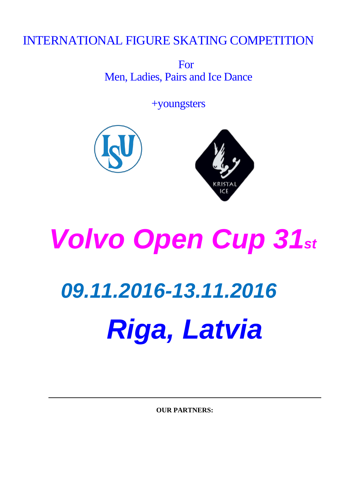### INTERNATIONAL FIGURE SKATING COMPETITION

For Men, Ladies, Pairs and Ice Dance

+youngsters



# *Volvo Open Cup 31st 09.11.2016-13.11.2016 Riga, Latvia*

**OUR PARTNERS:**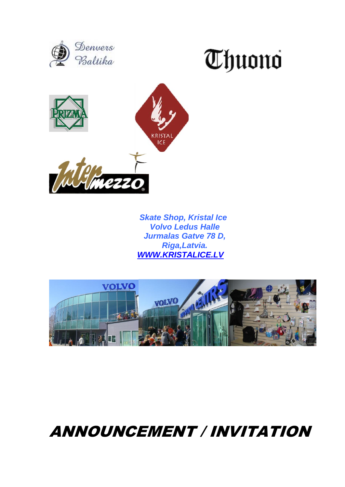





 *Skate Shop, Kristal Ice Volvo Ledus Halle Jurmalas Gatve 78 D, Riga,Latvia. [WWW.KRISTALICE.LV](http://www.kristalice.lv/)* 



## ANNOUNCEMENT / INVITATION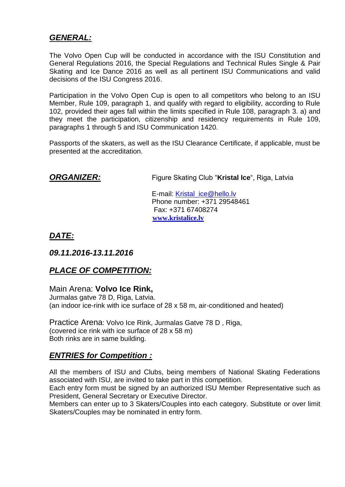#### *GENERAL:*

The Volvo Open Cup will be conducted in accordance with the ISU Constitution and General Regulations 2016, the Special Regulations and Technical Rules Single & Pair Skating and Ice Dance 2016 as well as all pertinent ISU Communications and valid decisions of the ISU Congress 2016.

Participation in the Volvo Open Cup is open to all competitors who belong to an ISU Member, Rule 109, paragraph 1, and qualify with regard to eligibility, according to Rule 102, provided their ages fall within the limits specified in Rule 108, paragraph 3. a) and they meet the participation, citizenship and residency requirements in Rule 109, paragraphs 1 through 5 and ISU Communication 1420.

Passports of the skaters, as well as the ISU Clearance Certificate, if applicable, must be presented at the accreditation.

**ORGANIZER:** Figure Skating Club "Kristal Ice", Riga, Latvia

E-mail: [Kristal\\_ice@hello.lv](mailto:Kristal_ice@hello.lv) Phone number: +371 29548461 Fax: +371 67408274  **[www.kristalice.lv](http://www.kristalice.lv/)**

*DATE:*

*09.11.2016-13.11.2016*

#### *PLACE OF COMPETITION:*

Main Arena: **Volvo Ice Rink,**

Jurmalas gatve 78 D, Riga, Latvia. (an indoor ice-rink with ice surface of 28 x 58 m, air-conditioned and heated)

Practice Arena: Volvo Ice Rink, Jurmalas Gatve 78 D , Riga, (covered ice rink with ice surface of 28 x 58 m) Both rinks are in same building.

#### *ENTRIES for Competition :*

All the members of ISU and Clubs, being members of National Skating Federations associated with ISU, are invited to take part in this competition.

Each entry form must be signed by an authorized ISU Member Representative such as President, General Secretary or Executive Director.

Members can enter up to 3 Skaters/Couples into each category. Substitute or over limit Skaters/Couples may be nominated in entry form.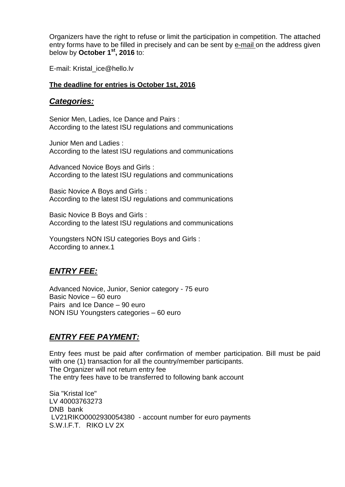Organizers have the right to refuse or limit the participation in competition. The attached entry forms have to be filled in precisely and can be sent by e-mail on the address given below by **October 1st, 2016** to:

E-mail: Kristal\_ice@hello.lv

#### **The deadline for entries is October 1st, 2016**

#### *Categories:*

Senior Men, Ladies, Ice Dance and Pairs : According to the latest ISU regulations and communications

Junior Men and Ladies : According to the latest ISU regulations and communications

Advanced Novice Boys and Girls : According to the latest ISU regulations and communications

Basic Novice A Boys and Girls : According to the latest ISU regulations and communications

Basic Novice B Boys and Girls : According to the latest ISU regulations and communications

Youngsters NON ISU categories Boys and Girls : According to annex.1

#### *ENTRY FEE:*

Advanced Novice, Junior, Senior category - 75 euro Basic Novice – 60 euro Pairs and Ice Dance – 90 euro NON ISU Youngsters categories – 60 euro

#### *ENTRY FEE PAYMENT:*

Entry fees must be paid after confirmation of member participation. Bill must be paid with one (1) transaction for all the country/member participants. The Organizer will not return entry fee The entry fees have to be transferred to following bank account

Sia "Kristal Ice" LV 40003763273 DNB bank LV21RIKO0002930054380 - account number for euro payments S.W.I.F.T. RIKO LV 2X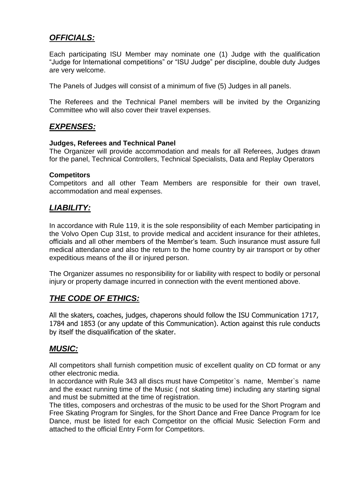#### *OFFICIALS:*

Each participating ISU Member may nominate one (1) Judge with the qualification "Judge for International competitions" or "ISU Judge" per discipline, double duty Judges are very welcome.

The Panels of Judges will consist of a minimum of five (5) Judges in all panels.

The Referees and the Technical Panel members will be invited by the Organizing Committee who will also cover their travel expenses.

#### *EXPENSES:*

#### **Judges, Referees and Technical Panel**

The Organizer will provide accommodation and meals for all Referees, Judges drawn for the panel, Technical Controllers, Technical Specialists, Data and Replay Operators

#### **Competitors**

Competitors and all other Team Members are responsible for their own travel, accommodation and meal expenses.

#### *LIABILITY:*

In accordance with Rule 119, it is the sole responsibility of each Member participating in the Volvo Open Cup 31st, to provide medical and accident insurance for their athletes, officials and all other members of the Member's team. Such insurance must assure full medical attendance and also the return to the home country by air transport or by other expeditious means of the ill or injured person.

The Organizer assumes no responsibility for or liability with respect to bodily or personal injury or property damage incurred in connection with the event mentioned above.

#### *THE CODE OF ETHICS:*

All the skaters, coaches, judges, chaperons should follow the ISU Communication 1717, 1784 and 1853 (or any update of this Communication). Action against this rule conducts by itself the disqualification of the skater.

#### *MUSIC:*

All competitors shall furnish competition music of excellent quality on CD format or any other electronic media.

In accordance with Rule 343 all discs must have Competitor`s name, Member`s name and the exact running time of the Music ( not skating time) including any starting signal and must be submitted at the time of registration.

The titles, composers and orchestras of the music to be used for the Short Program and Free Skating Program for Singles, for the Short Dance and Free Dance Program for Ice Dance, must be listed for each Competitor on the official Music Selection Form and attached to the official Entry Form for Competitors.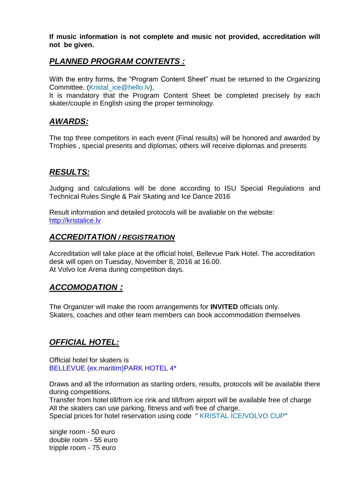**If music information is not complete and music not provided, accreditation will not be given.**

#### *PLANNED PROGRAM CONTENTS :*

With the entry forms, the "Program Content Sheet" must be returned to the Organizing Committee. (Kristal\_ice@hello.lv),

It is mandatory that the Program Content Sheet be completed precisely by each skater/couple in English using the proper terminology.

#### *AWARDS:*

The top three competitors in each event (Final results) will be honored and awarded by Trophies , special presents and diplomas; others will receive diplomas and presents

#### *RESULTS:*

Judging and calculations will be done according to ISU Special Regulations and Technical Rules Single & Pair Skating and Ice Dance 2016

Result information and detailed protocols will be avaliable on the website: [http://kristalice.lv](http://kristalice.lv/)

#### *ACCREDITATION / REGISTRATION*

Accreditation will take place at the official hotel, Bellevue Park Hotel. The accreditation desk will open on Tuesday, November 8, 2016 at 16.00. At Volvo Ice Arena during competition days.

#### *ACCOMODATION :*

The Organizer will make the room arrangements for **INVITED** officials only. Skaters, coaches and other team members can book accommodation themselves

#### *OFFICIAL HOTEL:*

Official hotel for skaters is BELLEVUE (ex.maritim)PARK HOTEL 4\*

Draws and all the information as starting orders, results, protocols will be available there during competitions.

Transfer from hotel till/from ice rink and till/from airport will be available free of charge All the skaters can use parking, fitness and wifi free of charge.

Special prices for hotel reservation using code " KRISTAL ICE/VOLVO CUP"

single room - 50 euro double room - 55 euro tripple room - 75 euro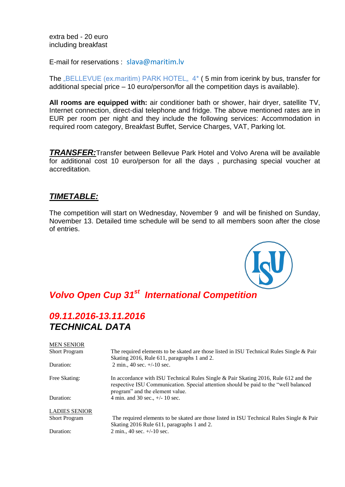extra bed - 20 euro including breakfast

E-mail for reservations : slava@maritim.lv

The  $\mu$ BELLEVUE (ex.maritim) PARK HOTEL,  $4^*$  (5 min from icerink by bus, transfer for additional special price – 10 euro/person/for all the competition days is available).

**All rooms are equipped with:** air conditioner bath or shower, hair dryer, satellite TV, Internet connection, direct-dial telephone and fridge. The above mentioned rates are in EUR per room per night and they include the following services: Accommodation in required room category, Breakfast Buffet, Service Charges, VAT, Parking lot.

*TRANSFER:*Transfer between Bellevue Park Hotel and Volvo Arena will be available for additional cost 10 euro/person for all the days , purchasing special voucher at accreditation.

#### *TIMETABLE:*

The competition will start on Wednesday, November 9 and will be finished on Sunday, November 13. Detailed time schedule will be send to all members soon after the close of entries.

#### *Volvo Open Cup 31st International Competition*

#### *09.11.2016-13.11.2016 TECHNICAL DATA*

| <b>MEN SENIOR</b>    |                                                                                                                                                                                                                |  |  |
|----------------------|----------------------------------------------------------------------------------------------------------------------------------------------------------------------------------------------------------------|--|--|
| <b>Short Program</b> | The required elements to be skated are those listed in ISU Technical Rules Single & Pair<br>Skating 2016, Rule 611, paragraphs 1 and 2.                                                                        |  |  |
| Duration:            | 2 min., 40 sec. $+/-10$ sec.                                                                                                                                                                                   |  |  |
| Free Skating:        | In accordance with ISU Technical Rules Single & Pair Skating 2016, Rule 612 and the<br>respective ISU Communication. Special attention should be paid to the "well balanced<br>program" and the element value. |  |  |
| Duration:            | 4 min. and 30 sec., $+/- 10$ sec.                                                                                                                                                                              |  |  |
| <b>LADIES SENIOR</b> |                                                                                                                                                                                                                |  |  |
| <b>Short Program</b> | The required elements to be skated are those listed in ISU Technical Rules Single & Pair<br>Skating 2016 Rule 611, paragraphs 1 and 2.                                                                         |  |  |
| Duration:            | 2 min., 40 sec. $+/-10$ sec.                                                                                                                                                                                   |  |  |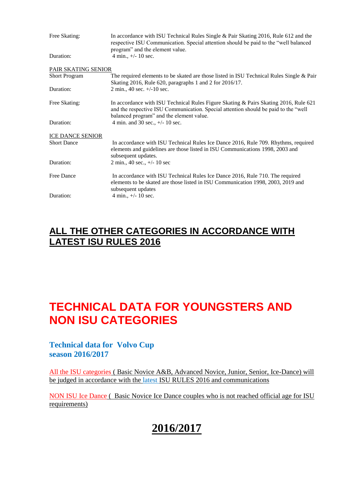| Free Skating:           | In accordance with ISU Technical Rules Single & Pair Skating 2016, Rule 612 and the<br>respective ISU Communication. Special attention should be paid to the "well balanced<br>program" and the element value.          |  |
|-------------------------|-------------------------------------------------------------------------------------------------------------------------------------------------------------------------------------------------------------------------|--|
| Duration:               | 4 min., $+/- 10$ sec.                                                                                                                                                                                                   |  |
| PAIR SKATING SENIOR     |                                                                                                                                                                                                                         |  |
| <b>Short Program</b>    | The required elements to be skated are those listed in ISU Technical Rules Single & Pair<br>Skating 2016, Rule 620, paragraphs 1 and 2 for 2016/17.                                                                     |  |
| Duration:               | $2 \text{ min.}$ , 40 sec. $+/-10 \text{ sec.}$                                                                                                                                                                         |  |
| Free Skating:           | In accordance with ISU Technical Rules Figure Skating & Pairs Skating 2016, Rule 621<br>and the respective ISU Communication. Special attention should be paid to the "well<br>balanced program" and the element value. |  |
| Duration:               | 4 min. and 30 sec., $+/- 10$ sec.                                                                                                                                                                                       |  |
| <b>ICE DANCE SENIOR</b> |                                                                                                                                                                                                                         |  |
| <b>Short Dance</b>      | In accordance with ISU Technical Rules Ice Dance 2016, Rule 709. Rhythms, required<br>elements and guidelines are those listed in ISU Communications 1998, 2003 and<br>subsequent updates.                              |  |
| Duration:               | $2 \text{ min.}, 40 \text{ sec.}, +/- 10 \text{ sec}$                                                                                                                                                                   |  |
| <b>Free Dance</b>       | In accordance with ISU Technical Rules Ice Dance 2016, Rule 710. The required<br>elements to be skated are those listed in ISU Communication 1998, 2003, 2019 and<br>subsequent updates                                 |  |
| Duration:               | 4 min., $+/- 10$ sec.                                                                                                                                                                                                   |  |

#### **ALL THE OTHER CATEGORIES IN ACCORDANCE WITH LATEST ISU RULES 2016**

#### **TECHNICAL DATA FOR YOUNGSTERS AND NON ISU CATEGORIES**

#### **Technical data for Volvo Cup season 2016/2017**

All the ISU categories ( Basic Novice A&B, Advanced Novice, Junior, Senior, Ice-Dance) will be judged in accordance with the latest ISU RULES 2016 and communications

NON ISU Ice Dance ( Basic Novice Ice Dance couples who is not reached official age for ISU requirements)

#### **2016/2017**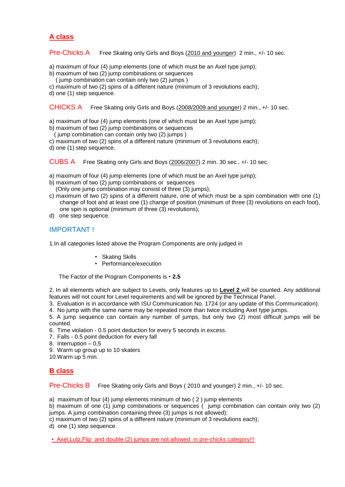#### **A class**

Pre-Chicks A Free Skating only Girls and Boys (2010 and younger) 2 min., +/- 10 sec.

- a) maximum of four (4) jump elements (one of which must be an Axel type jump);
- b) maximum of two (2) jump combinations or sequences
	- ( jump combination can contain only two (2) jumps )
- c) maximum of two (2) spins of a different nature (minimum of 3 revolutions each);
- d) one (1) step sequence.

CHICKS A Free Skating only Girls and Boys (2008/2009 and younger) 2 min., +/- 10 sec.

- a) maximum of four (4) jump elements (one of which must be an Axel type jump);
- b) maximum of two (2) jump combinations or sequences
- ( jump combination can contain only two (2) jumps )
- c) maximum of two (2) spins of a different nature (minimum of 3 revolutions each);
- d) one (1) step sequence.

CUBS A Free Skating only Girls and Boys (2006/2007) 2 min. 30 sec., +/- 10 sec.

- a) maximum of four (4) jump elements (one of which must be an Axel type jump);
- b) maximum of two (2) jump combinations or sequences (Only one jump combination may consist of three (3) jumps);
- c) maximum of two (2) spins of a different nature, one of which must be a spin combination with one (1) change of foot and at least one (1) change of position (minimum of three (3) revolutions on each foot), one spin is optional (minimum of three (3) revolutions);
- d) one step sequence.

#### IMPORTANT !

1.In all categories listed above the Program Components are only judged in

- Skating Skills
- *•* Performance/execution

The Factor of the Program Components is *•* **2.5**

2. In all elements which are subject to Levels, only features up to **Level 2** will be counted. Any additional features will not count for Level requirements and will be ignored by the Technical Panel.

3. Evaluation is in accordance with ISU Communication No. 1724 (or any update of this Communication).

4. No jump with the same name may be repeated more than twice including Axel type jumps.

5. A jump sequence can contain any number of jumps, but only two (2) most difficult jumps will be counted.

6. Time violation - 0.5 point deduction for every 5 seconds in excess.

- 7. Falls 0.5 point deduction for every fall
- 8. Interruption 0,5
- 9. Warm up group up to 10 skaters

10.Warm up 5 min.

#### **B class**

Pre-Chicks B Free Skating only Girls and Boys (2010 and younger) 2 min., +/- 10 sec.

a) maximum of four (4) jump elements minimum of two ( 2 ) jump elements

b) maximum of one (1) jump combinations or sequences ( jump combination can contain only two (2) jumps. A jump combination containing three (3) jumps is not allowed);

c) maximum of two (2) spins of a different nature (minimum of 3 revolutions each);

d) one (1) step sequence.

• Axel, Lutz, Flip and double (2) jumps are not allowed in pre-chicks category!!!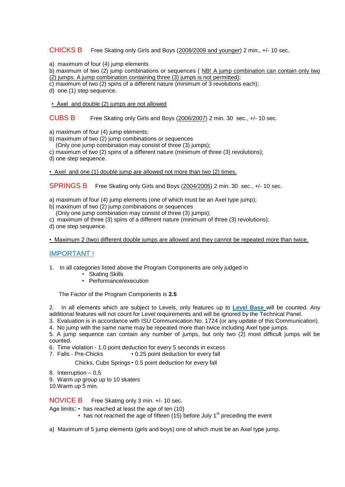#### CHICKS B Free Skating only Girls and Boys (2008/2009 and younger) 2 min., +/- 10 sec.

a) maximum of four (4) jump elements

b) maximum of two (2) jump combinations or sequences ( NB! A jump combination can contain only two (2) jumps. A jump combination containing three (3) jumps is not permitted);

c) maximum of two (2) spins of a different nature (minimum of 3 revolutions each);

- d) one (1) step sequence.
- Axel and double (2) jumps are not allowed

CUBS B Free Skating only Girls and Boys (2006/2007) 2 min. 30 sec., +/- 10 sec.

a) maximum of four (4) jump elements;

- b) maximum of two (2) jump combinations or sequences
	- (Only one jump combination may consist of three (3) jumps);
- c) maximum of two (2) spins of a different nature (minimum of three (3) revolutions);
- d) one step sequence.

• Axel and one (1) double jump are allowed not more than two (2) times.

SPRINGS B Free Skating only Girls and Boys (2004/2005) 2 min. 30 sec., +/- 10 sec.

- a) maximum of four (4) jump elements (one of which must be an Axel type jump);
- b) maximum of two (2) jump combinations or sequences
- (Only one jump combination may consist of three (3) jumps);
- c) maximum of three (3) spins of a different nature (minimum of three (3) revolutions);
- d) one step sequence.

• Maximum 2 (two) different double jumps are allowed and they cannot be repeated more than twice.

#### IMPORTANT !

- 1. In all categories listed above the Program Components are only judged in
	- Skating Skills
	- *•* Performance/execution

The Factor of the Program Components is **2.5**

2. In all elements which are subject to Levels, only features up to **Level Base** will be counted. Any additional features will not count for Level requirements and will be ignored by the Technical Panel.

3. Evaluation is in accordance with ISU Communication No. 1724 (or any update of this Communication).

4. No jump with the same name may be repeated more than twice including Axel type jumps.

5. A jump sequence can contain any number of jumps, but only two (2) most difficult jumps will be counted.

6. Time violation - 1.0 point deduction for every 5 seconds in excess

7. Falls - Pre-Chicks *•* 0.25 point deduction for every fall

Chicks, Cubs Springs *•* 0.5 point deduction for every fall

- 8. Interruption 0,5
- 9. Warm up group up to 10 skaters
- 10.Warm up 5 min.

NOVICE B Free Skating only 3 min. +/- 10 sec.

Age limits: *•* has reached at least the age of ten (10)

- has not reached the age of fifteen (15) before July 1<sup>st</sup> preceding the event
- a)Maximum of 5 jump elements (girls and boys) one of which must be an Axel type jump.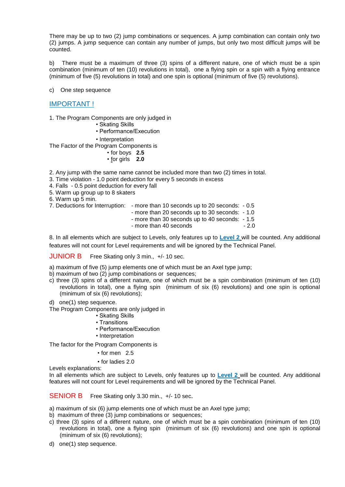There may be up to two (2) jump combinations or sequences. A jump combination can contain only two (2) jumps. A jump sequence can contain any number of jumps, but only two most difficult jumps will be counted.

b) There must be a maximum of three (3) spins of a different nature, one of which must be a spin combination (minimum of ten (10) revolutions in total), one a flying spin or a spin with a flying entrance (minimum of five (5) revolutions in total) and one spin is optional (minimum of five (5) revolutions).

c) One step sequence

#### IMPORTANT !

1. The Program Components are only judged in

- Skating Skills
- Performance/Execution
- Interpretation

The Factor of the Program Components is

- *•* for boys **2.5**
- *•* for girls **2.0**

2. Any jump with the same name cannot be included more than two (2) times in total.

3. Time violation - 1.0 point deduction for every 5 seconds in excess

4. Falls - 0.5 point deduction for every fall

5. Warm up group up to 8 skaters

6. Warm up 5 min.

- 7. Deductions for Interruption: more than 10 seconds up to 20 seconds: 0.5
	- more than 20 seconds up to 30 seconds: 1.0

- more than 30 seconds up to 40 seconds: - 1.5

- more than 40 seconds - 2.0

8. In all elements which are subject to Levels, only features up to **Level 2** will be counted. Any additional features will not count for Level requirements and will be ignored by the Technical Panel.

JUNIOR BFree Skating only 3 min., +/- 10 sec.

a) maximum of five (5) jump elements one of which must be an Axel type jump;

- b) maximum of two (2) jump combinations or sequences;
- c) three (3) spins of a different nature, one of which must be a spin combination (minimum of ten (10) revolutions in total), one a flying spin (minimum of six (6) revolutions) and one spin is optional (minimum of six (6) revolutions);
- d) one(1) step sequence.

The Program Components are only judged in

- Skating Skills
- Transitions
- Performance/Execution
- Interpretation

The factor for the Program Components is

- *•* for men 2.5
- *•* for ladies 2.0

Levels explanations:

In all elements which are subject to Levels, only features up to **Level 2** will be counted. Any additional features will not count for Level requirements and will be ignored by the Technical Panel.

SENIOR BFree Skating only 3.30 min., +/- 10 sec.

a) maximum of six (6) jump elements one of which must be an Axel type jump;

- b) maximum of three (3) jump combinations or sequences;
- c) three (3) spins of a different nature, one of which must be a spin combination (minimum of ten (10) revolutions in total), one a flying spin (minimum of six (6) revolutions) and one spin is optional (minimum of six (6) revolutions);
- d) one(1) step sequence.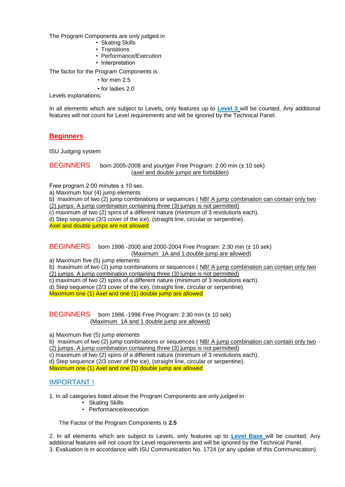The Program Components are only judged in

- Skating Skills
- Transitions
- Performance/Execution
- Interpretation

The factor for the Program Components is

- for men 2.5
- *•* for ladies 2.0

Levels explanations:

In all elements which are subject to Levels, only features up to **Level 3** will be counted. Any additional features will not count for Level requirements and will be ignored by the Technical Panel.

#### **Beginners**

ISU Judging system

```
BEGINNERS born 2005-2008 and younger Free Program: 2:00 min (± 10 sek)
                (axel and double jumps are forbidden)
```
Free program 2:00 minutes ± 10 sec.

a) Maximum four (4) jump elements

b) maximum of two (2) jump combinations or sequences ( NB! A jump combination can contain only two (2) jumps. A jump combination containing three (3) jumps is not permitted)

c) maximum of two (2) spins of a different nature (minimum of 3 revolutions each).

d) Step sequence (2/3 cover of the ice), (straight line, circular or serpentine).

Axel and double jumps are not allowed

BEGINNERS born 1996 -2000 and 2000-2004 Free Program: 2:30 min (± 10 sek) (Maximum 1A and 1 double jump are allowed)

a) Maximum five (5) jump elements

b) maximum of two (2) jump combinations or sequences ( NB! A jump combination can contain only two

(2) jumps. A jump combination containing three (3) jumps is not permitted)

c) maximum of two (2) spins of a different nature (minimum of 3 revolutions each).

d) Step sequence (2/3 cover of the ice), (straight line, circular or serpentine).

Maximum one (1) Axel and one (1) double jump are allowed

BEGINNERSborn 1986 -1996 Free Program: 2:30 min (± 10 sek) (Maximum 1A and 1 double jump are allowed)

a) Maximum five (5) jump elements

b) maximum of two (2) jump combinations or sequences ( NB! A jump combination can contain only two (2) jumps. A jump combination containing three (3) jumps is not permitted)

c) maximum of two (2) spins of a different nature (minimum of 3 revolutions each).

d) Step sequence (2/3 cover of the ice), (straight line, circular or serpentine).

Maximum one (1) Axel and one (1) double jump are allowed

#### IMPORTANT !

1. In all categories listed above the Program Components are only judged in

- Skating Skills
- *•* Performance/execution

The Factor of the Program Components is **2.5**

2. In all elements which are subject to Levels, only features up to **Level Base** will be counted. Any additional features will not count for Level requirements and will be ignored by the Technical Panel. 3. Evaluation is in accordance with ISU Communication No. 1724 (or any update of this Communication).